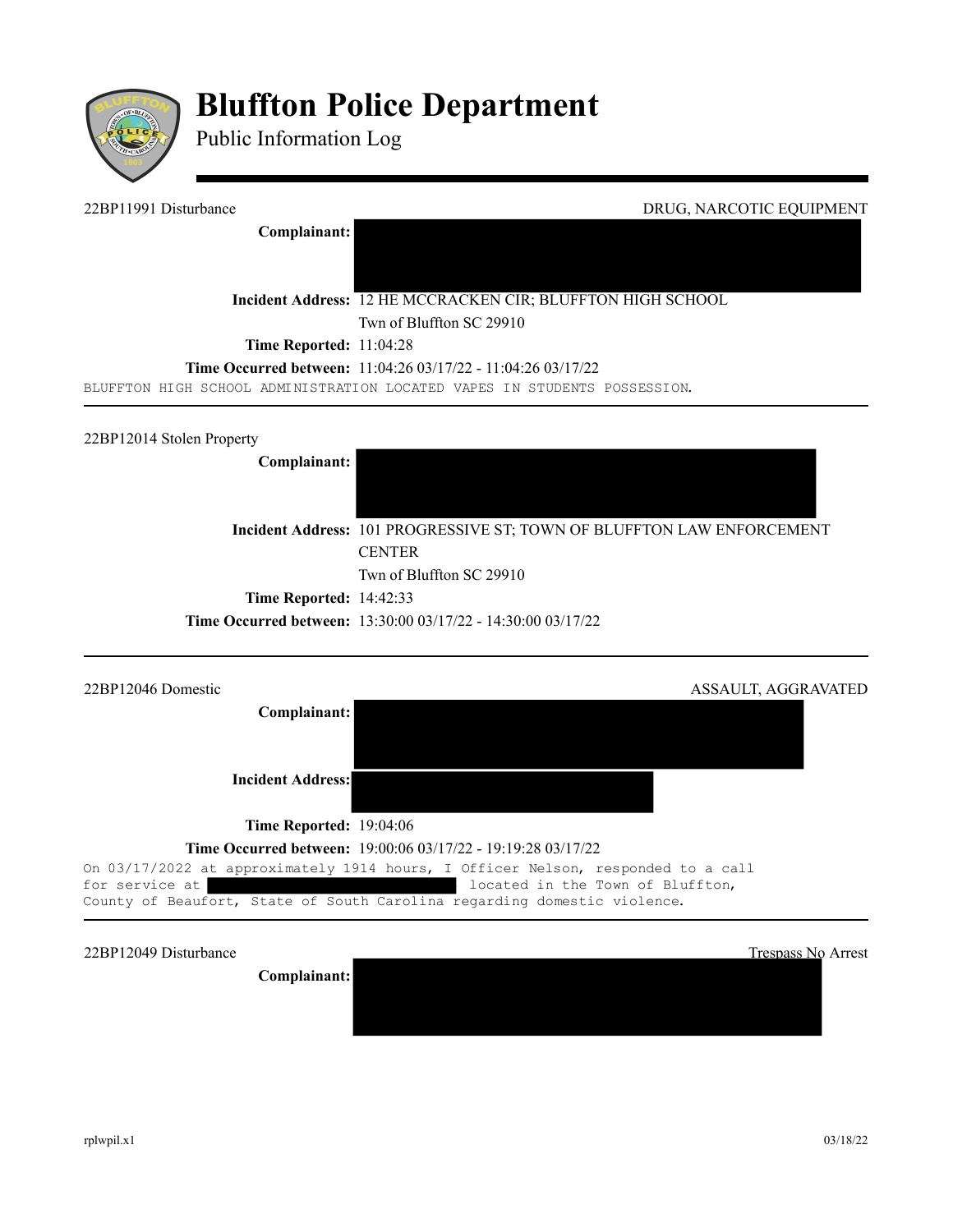

# **Bluffton Police Department**

Public Information Log

22BP11991 Disturbance DRUG, NARCOTIC EQUIPMENT **Complainant: Incident Address:** 12 HE MCCRACKEN CIR; BLUFFTON HIGH SCHOOL Twn of Bluffton SC 29910 **Time Reported:** 11:04:28 **Time Occurred between:** 11:04:26 03/17/22 - 11:04:26 03/17/22 BLUFFTON HIGH SCHOOL ADMINISTRATION LOCATED VAPES IN STUDENTS POSSESSION. 22BP12014 Stolen Property **Complainant: Incident Address:** 101 PROGRESSIVE ST; TOWN OF BLUFFTON LAW ENFORCEMENT **CENTER** Twn of Bluffton SC 29910 **Time Reported:** 14:42:33 **Time Occurred between:** 13:30:00 03/17/22 - 14:30:00 03/17/22 22BP12046 Domestic ASSAULT, AGGRAVATED **Complainant: Incident Address:**

**Time Reported:** 19:04:06

### **Time Occurred between:** 19:00:06 03/17/22 - 19:19:28 03/17/22

On 03/17/2022 at approximately 1914 hours, I Officer Nelson, responded to a call for service at  $\qquad \qquad$  located in the Town of Bluffton, County of Beaufort, State of South Carolina regarding domestic violence.

22BP12049 Disturbance Trespass No Arrest

**Complainant:**